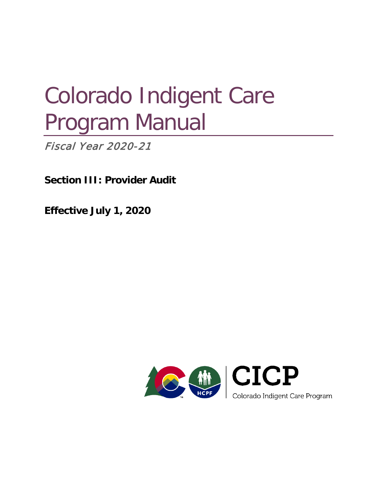# Colorado Indigent Care Program Manual

**Fiscal Year 2020-21** 

**Section III: Provider Audit**

**Effective July 1, 2020**

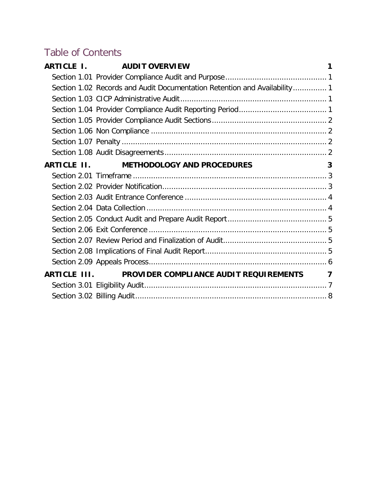# Table of Contents

| ARTICLE I.   | <b>AUDIT OVERVIEW</b>                                                     | 1 |
|--------------|---------------------------------------------------------------------------|---|
|              |                                                                           |   |
|              | Section 1.02 Records and Audit Documentation Retention and Availability 1 |   |
|              |                                                                           |   |
|              |                                                                           |   |
|              |                                                                           |   |
|              |                                                                           |   |
|              |                                                                           |   |
|              |                                                                           |   |
|              | ARTICLE II. METHODOLOGY AND PROCEDURES                                    | 3 |
|              |                                                                           |   |
|              |                                                                           |   |
|              |                                                                           |   |
|              |                                                                           |   |
|              |                                                                           |   |
|              |                                                                           |   |
|              |                                                                           |   |
|              |                                                                           |   |
|              |                                                                           |   |
| ARTICLE III. | PROVIDER COMPLIANCE AUDIT REQUIREMENTS                                    | 7 |
|              |                                                                           |   |
|              |                                                                           |   |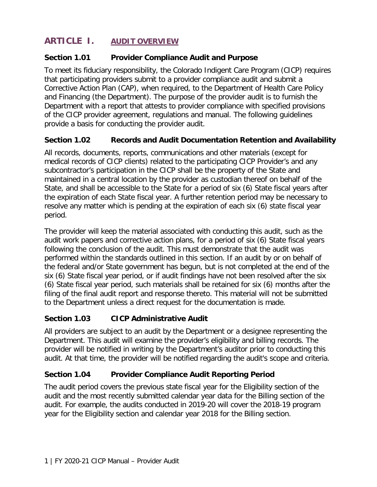# <span id="page-2-0"></span>**ARTICLE I. AUDIT OVERVIEW**

# <span id="page-2-1"></span>**Section 1.01 Provider Compliance Audit and Purpose**

To meet its fiduciary responsibility, the Colorado Indigent Care Program (CICP) requires that participating providers submit to a provider compliance audit and submit a Corrective Action Plan (CAP), when required, to the Department of Health Care Policy and Financing (the Department). The purpose of the provider audit is to furnish the Department with a report that attests to provider compliance with specified provisions of the CICP provider agreement, regulations and manual. The following guidelines provide a basis for conducting the provider audit.

#### <span id="page-2-2"></span>**Section 1.02 Records and Audit Documentation Retention and Availability**

All records, documents, reports, communications and other materials (except for medical records of CICP clients) related to the participating CICP Provider's and any subcontractor's participation in the CICP shall be the property of the State and maintained in a central location by the provider as custodian thereof on behalf of the State, and shall be accessible to the State for a period of six (6) State fiscal years after the expiration of each State fiscal year. A further retention period may be necessary to resolve any matter which is pending at the expiration of each six (6) state fiscal year period.

The provider will keep the material associated with conducting this audit, such as the audit work papers and corrective action plans, for a period of six (6) State fiscal years following the conclusion of the audit. This must demonstrate that the audit was performed within the standards outlined in this section. If an audit by or on behalf of the federal and/or State government has begun, but is not completed at the end of the six (6) State fiscal year period, or if audit findings have not been resolved after the six (6) State fiscal year period, such materials shall be retained for six (6) months after the filing of the final audit report and response thereto. This material will not be submitted to the Department unless a direct request for the documentation is made.

# <span id="page-2-3"></span>**Section 1.03 CICP Administrative Audit**

All providers are subject to an audit by the Department or a designee representing the Department. This audit will examine the provider's eligibility and billing records. The provider will be notified in writing by the Department's auditor prior to conducting this audit. At that time, the provider will be notified regarding the audit's scope and criteria.

#### <span id="page-2-4"></span>**Section 1.04 Provider Compliance Audit Reporting Period**

The audit period covers the previous state fiscal year for the Eligibility section of the audit and the most recently submitted calendar year data for the Billing section of the audit. For example, the audits conducted in 2019-20 will cover the 2018-19 program year for the Eligibility section and calendar year 2018 for the Billing section.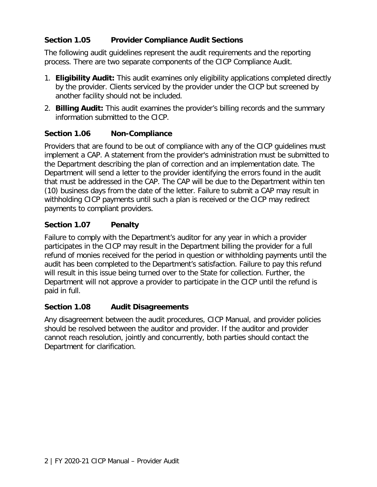# <span id="page-3-0"></span>**Section 1.05 Provider Compliance Audit Sections**

The following audit guidelines represent the audit requirements and the reporting process. There are two separate components of the CICP Compliance Audit.

- 1. **Eligibility Audit:** This audit examines only eligibility applications completed directly by the provider. Clients serviced by the provider under the CICP but screened by another facility should not be included.
- 2. **Billing Audit:** This audit examines the provider's billing records and the summary information submitted to the CICP.

#### <span id="page-3-1"></span>**Section 1.06 Non-Compliance**

Providers that are found to be out of compliance with any of the CICP guidelines must implement a CAP. A statement from the provider's administration must be submitted to the Department describing the plan of correction and an implementation date. The Department will send a letter to the provider identifying the errors found in the audit that must be addressed in the CAP. The CAP will be due to the Department within ten (10) business days from the date of the letter. Failure to submit a CAP may result in withholding CICP payments until such a plan is received or the CICP may redirect payments to compliant providers.

#### <span id="page-3-2"></span>**Section 1.07 Penalty**

Failure to comply with the Department's auditor for any year in which a provider participates in the CICP may result in the Department billing the provider for a full refund of monies received for the period in question or withholding payments until the audit has been completed to the Department's satisfaction. Failure to pay this refund will result in this issue being turned over to the State for collection. Further, the Department will not approve a provider to participate in the CICP until the refund is paid in full.

#### <span id="page-3-3"></span>**Section 1.08 Audit Disagreements**

Any disagreement between the audit procedures, CICP Manual, and provider policies should be resolved between the auditor and provider. If the auditor and provider cannot reach resolution, jointly and concurrently, both parties should contact the Department for clarification.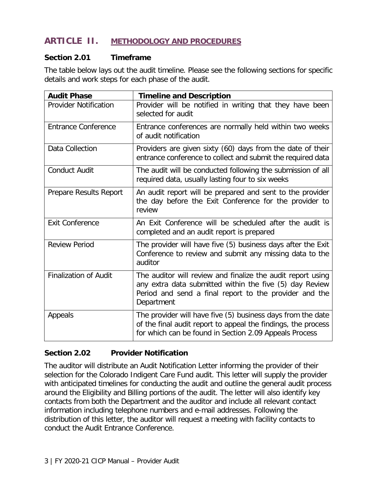# <span id="page-4-0"></span>**ARTICLE II. METHODOLOGY AND PROCEDURES**

#### <span id="page-4-1"></span>**Section 2.01 Timeframe**

The table below lays out the audit timeline. Please see the following sections for specific details and work steps for each phase of the audit.

| <b>Audit Phase</b>           | <b>Timeline and Description</b>                                                                                                                                                                |
|------------------------------|------------------------------------------------------------------------------------------------------------------------------------------------------------------------------------------------|
| <b>Provider Notification</b> | Provider will be notified in writing that they have been<br>selected for audit                                                                                                                 |
| <b>Entrance Conference</b>   | Entrance conferences are normally held within two weeks<br>of audit notification                                                                                                               |
| Data Collection              | Providers are given sixty (60) days from the date of their<br>entrance conference to collect and submit the required data                                                                      |
| <b>Conduct Audit</b>         | The audit will be conducted following the submission of all<br>required data, usually lasting four to six weeks                                                                                |
| Prepare Results Report       | An audit report will be prepared and sent to the provider<br>the day before the Exit Conference for the provider to<br>review                                                                  |
| <b>Exit Conference</b>       | An Exit Conference will be scheduled after the audit is<br>completed and an audit report is prepared                                                                                           |
| <b>Review Period</b>         | The provider will have five (5) business days after the Exit<br>Conference to review and submit any missing data to the<br>auditor                                                             |
| <b>Finalization of Audit</b> | The auditor will review and finalize the audit report using<br>any extra data submitted within the five (5) day Review<br>Period and send a final report to the provider and the<br>Department |
| Appeals                      | The provider will have five (5) business days from the date<br>of the final audit report to appeal the findings, the process<br>for which can be found in Section 2.09 Appeals Process         |

#### <span id="page-4-2"></span>**Section 2.02 Provider Notification**

The auditor will distribute an Audit Notification Letter informing the provider of their selection for the Colorado Indigent Care Fund audit. This letter will supply the provider with anticipated timelines for conducting the audit and outline the general audit process around the Eligibility and Billing portions of the audit. The letter will also identify key contacts from both the Department and the auditor and include all relevant contact information including telephone numbers and e-mail addresses. Following the distribution of this letter, the auditor will request a meeting with facility contacts to conduct the Audit Entrance Conference.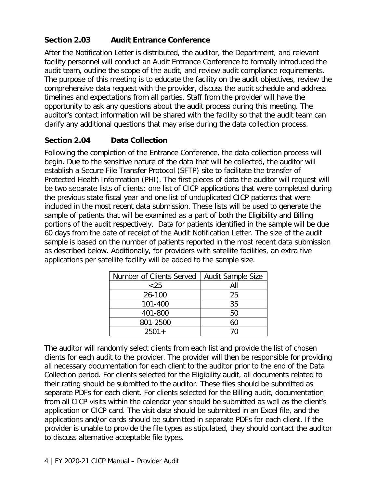# <span id="page-5-0"></span>**Section 2.03 Audit Entrance Conference**

After the Notification Letter is distributed, the auditor, the Department, and relevant facility personnel will conduct an Audit Entrance Conference to formally introduced the audit team, outline the scope of the audit, and review audit compliance requirements. The purpose of this meeting is to educate the facility on the audit objectives, review the comprehensive data request with the provider, discuss the audit schedule and address timelines and expectations from all parties. Staff from the provider will have the opportunity to ask any questions about the audit process during this meeting. The auditor's contact information will be shared with the facility so that the audit team can clarify any additional questions that may arise during the data collection process.

# <span id="page-5-1"></span>**Section 2.04 Data Collection**

Following the completion of the Entrance Conference, the data collection process will begin. Due to the sensitive nature of the data that will be collected, the auditor will establish a Secure File Transfer Protocol (SFTP) site to facilitate the transfer of Protected Health Information (PHI). The first pieces of data the auditor will request will be two separate lists of clients: one list of CICP applications that were completed during the previous state fiscal year and one list of unduplicated CICP patients that were included in the most recent data submission. These lists will be used to generate the sample of patients that will be examined as a part of both the Eligibility and Billing portions of the audit respectively. Data for patients identified in the sample will be due 60 days from the date of receipt of the Audit Notification Letter. The size of the audit sample is based on the number of patients reported in the most recent data submission as described below. Additionally, for providers with satellite facilities, an extra five applications per satellite facility will be added to the sample size.

| Number of Clients Served | <b>Audit Sample Size</b> |
|--------------------------|--------------------------|
| $~<$ 25                  | All                      |
| 26-100                   | 25                       |
| 101-400                  | 35                       |
| 401-800                  | 50                       |
| 801-2500                 | 60                       |
| $2501+$                  | 70                       |

The auditor will randomly select clients from each list and provide the list of chosen clients for each audit to the provider. The provider will then be responsible for providing all necessary documentation for each client to the auditor prior to the end of the Data Collection period. For clients selected for the Eligibility audit, all documents related to their rating should be submitted to the auditor. These files should be submitted as separate PDFs for each client. For clients selected for the Billing audit, documentation from all CICP visits within the calendar year should be submitted as well as the client's application or CICP card. The visit data should be submitted in an Excel file, and the applications and/or cards should be submitted in separate PDFs for each client. If the provider is unable to provide the file types as stipulated, they should contact the auditor to discuss alternative acceptable file types.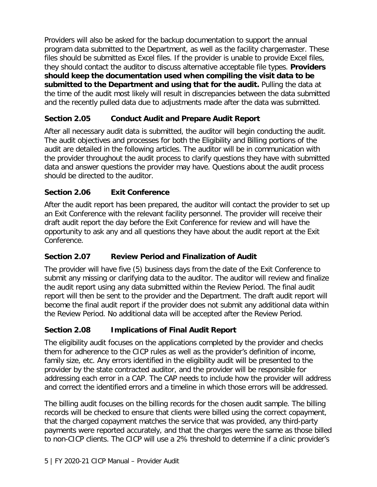Providers will also be asked for the backup documentation to support the annual program data submitted to the Department, as well as the facility chargemaster. These files should be submitted as Excel files. If the provider is unable to provide Excel files, they should contact the auditor to discuss alternative acceptable file types. **Providers should keep the documentation used when compiling the visit data to be submitted to the Department and using that for the audit.** Pulling the data at the time of the audit most likely will result in discrepancies between the data submitted and the recently pulled data due to adjustments made after the data was submitted.

# <span id="page-6-0"></span>**Section 2.05 Conduct Audit and Prepare Audit Report**

After all necessary audit data is submitted, the auditor will begin conducting the audit. The audit objectives and processes for both the Eligibility and Billing portions of the audit are detailed in the following articles. The auditor will be in communication with the provider throughout the audit process to clarify questions they have with submitted data and answer questions the provider may have. Questions about the audit process should be directed to the auditor.

# <span id="page-6-1"></span>**Section 2.06 Exit Conference**

After the audit report has been prepared, the auditor will contact the provider to set up an Exit Conference with the relevant facility personnel. The provider will receive their draft audit report the day before the Exit Conference for review and will have the opportunity to ask any and all questions they have about the audit report at the Exit Conference.

# <span id="page-6-2"></span>**Section 2.07 Review Period and Finalization of Audit**

The provider will have five (5) business days from the date of the Exit Conference to submit any missing or clarifying data to the auditor. The auditor will review and finalize the audit report using any data submitted within the Review Period. The final audit report will then be sent to the provider and the Department. The draft audit report will become the final audit report if the provider does not submit any additional data within the Review Period. No additional data will be accepted after the Review Period.

# <span id="page-6-3"></span>**Section 2.08 Implications of Final Audit Report**

The eligibility audit focuses on the applications completed by the provider and checks them for adherence to the CICP rules as well as the provider's definition of income, family size, etc. Any errors identified in the eligibility audit will be presented to the provider by the state contracted auditor, and the provider will be responsible for addressing each error in a CAP. The CAP needs to include how the provider will address and correct the identified errors and a timeline in which those errors will be addressed.

The billing audit focuses on the billing records for the chosen audit sample. The billing records will be checked to ensure that clients were billed using the correct copayment, that the charged copayment matches the service that was provided, any third-party payments were reported accurately, and that the charges were the same as those billed to non-CICP clients. The CICP will use a 2% threshold to determine if a clinic provider's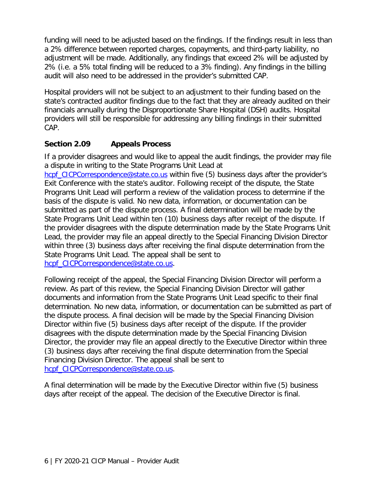funding will need to be adjusted based on the findings. If the findings result in less than a 2% difference between reported charges, copayments, and third-party liability, no adjustment will be made. Additionally, any findings that exceed 2% will be adjusted by 2% (i.e. a 5% total finding will be reduced to a 3% finding). Any findings in the billing audit will also need to be addressed in the provider's submitted CAP.

Hospital providers will not be subject to an adjustment to their funding based on the state's contracted auditor findings due to the fact that they are already audited on their financials annually during the Disproportionate Share Hospital (DSH) audits. Hospital providers will still be responsible for addressing any billing findings in their submitted CAP.

# <span id="page-7-0"></span>**Section 2.09 Appeals Process**

If a provider disagrees and would like to appeal the audit findings, the provider may file a dispute in writing to the State Programs Unit Lead at [hcpf\\_CICPCorrespondence@state.co.us](mailto:hcpf_CICPCorrespondence@state.co.us) within five (5) business days after the provider's Exit Conference with the state's auditor. Following receipt of the dispute, the State Programs Unit Lead will perform a review of the validation process to determine if the basis of the dispute is valid. No new data, information, or documentation can be submitted as part of the dispute process. A final determination will be made by the State Programs Unit Lead within ten (10) business days after receipt of the dispute. If the provider disagrees with the dispute determination made by the State Programs Unit

Lead, the provider may file an appeal directly to the Special Financing Division Director within three (3) business days after receiving the final dispute determination from the State Programs Unit Lead. The appeal shall be sent to

hcpf\_CICPCorrespondence@state.co.us.

Following receipt of the appeal, the Special Financing Division Director will perform a review. As part of this review, the Special Financing Division Director will gather documents and information from the State Programs Unit Lead specific to their final determination. No new data, information, or documentation can be submitted as part of the dispute process. A final decision will be made by the Special Financing Division Director within five (5) business days after receipt of the dispute. If the provider disagrees with the dispute determination made by the Special Financing Division Director, the provider may file an appeal directly to the Executive Director within three (3) business days after receiving the final dispute determination from the Special Financing Division Director. The appeal shall be sent to hcpf\_CICPCorrespondence@state.co.us.

A final determination will be made by the Executive Director within five (5) business days after receipt of the appeal. The decision of the Executive Director is final.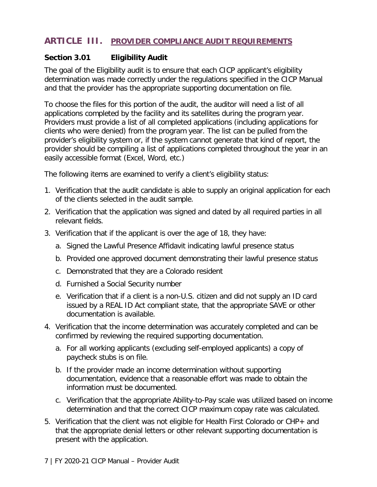# <span id="page-8-0"></span>**ARTICLE III. PROVIDER COMPLIANCE AUDIT REQUIREMENTS**

#### <span id="page-8-1"></span>**Section 3.01 Eligibility Audit**

The goal of the Eligibility audit is to ensure that each CICP applicant's eligibility determination was made correctly under the regulations specified in the CICP Manual and that the provider has the appropriate supporting documentation on file.

To choose the files for this portion of the audit, the auditor will need a list of all applications completed by the facility and its satellites during the program year. Providers must provide a list of all completed applications (including applications for clients who were denied) from the program year. The list can be pulled from the provider's eligibility system or, if the system cannot generate that kind of report, the provider should be compiling a list of applications completed throughout the year in an easily accessible format (Excel, Word, etc.)

The following items are examined to verify a client's eligibility status:

- 1. Verification that the audit candidate is able to supply an original application for each of the clients selected in the audit sample.
- 2. Verification that the application was signed and dated by all required parties in all relevant fields.
- 3. Verification that if the applicant is over the age of 18, they have:
	- a. Signed the Lawful Presence Affidavit indicating lawful presence status
	- b. Provided one approved document demonstrating their lawful presence status
	- c. Demonstrated that they are a Colorado resident
	- d. Furnished a Social Security number
	- e. Verification that if a client is a non-U.S. citizen and did not supply an ID card issued by a REAL ID Act compliant state, that the appropriate SAVE or other documentation is available.
- 4. Verification that the income determination was accurately completed and can be confirmed by reviewing the required supporting documentation.
	- a. For all working applicants (excluding self-employed applicants) a copy of paycheck stubs is on file.
	- b. If the provider made an income determination without supporting documentation, evidence that a reasonable effort was made to obtain the information must be documented.
	- c. Verification that the appropriate Ability-to-Pay scale was utilized based on income determination and that the correct CICP maximum copay rate was calculated.
- 5. Verification that the client was not eligible for Health First Colorado or CHP+ and that the appropriate denial letters or other relevant supporting documentation is present with the application.